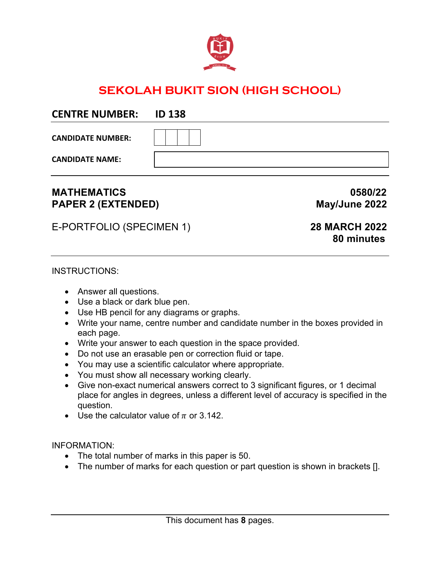

## **SEKOLAH BUKIT SION (HIGH SCHOOL)**

| CLIVINL IVUIVIDLIV.      | סכב עו |
|--------------------------|--------|
| <b>CANDIDATE NUMBER:</b> |        |
| <b>CANDIDATE NAME:</b>   |        |

## **MATHEMATICS 0580/22** PAPER 2 (EXTENDED) May/June 2022

E-PORTFOLIO (SPECIMEN 1) **28 MARCH 2022**

**CENTRE NUMBER: ID 138**

# **80 minutes**

## INSTRUCTIONS:

- Answer all questions.
- Use a black or dark blue pen.
- Use HB pencil for any diagrams or graphs.
- Write your name, centre number and candidate number in the boxes provided in each page.
- Write your answer to each question in the space provided.
- Do not use an erasable pen or correction fluid or tape.
- You may use a scientific calculator where appropriate.
- You must show all necessary working clearly.
- Give non-exact numerical answers correct to 3 significant figures, or 1 decimal place for angles in degrees, unless a different level of accuracy is specified in the question.
- Use the calculator value of  $\pi$  or 3.142.

## INFORMATION:

- The total number of marks in this paper is 50.
- The number of marks for each question or part question is shown in brackets [].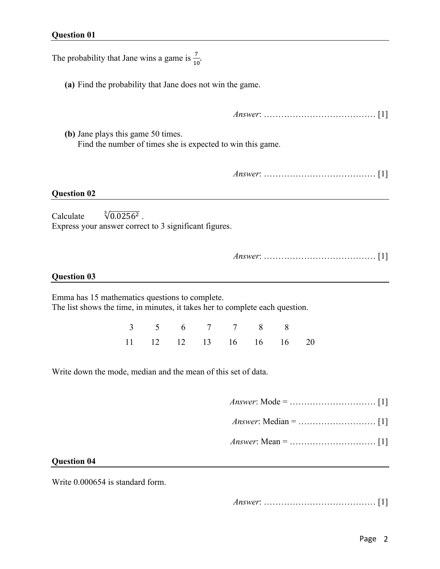The probability that Jane wins a game is  $\frac{7}{10}$ .

**(a)** Find the probability that Jane does not win the game.

*Answer*: ………………………………… [1]

**(b)** Jane plays this game 50 times. Find the number of times she is expected to win this game.

*Answer*: ………………………………… [1]

#### **Question 02**

Calculate  $\sqrt[3]{0.0256^2}$ . Express your answer correct to 3 significant figures.

*Answer*: ………………………………… [1]

#### **Question 03**

Emma has 15 mathematics questions to complete. The list shows the time, in minutes, it takes her to complete each question.

> 3 5 6 7 7 8 8 11 12 12 13 16 16 16 20

Write down the mode, median and the mean of this set of data.

- *Answer*: Mode = ………………………… [1]
- *Answer*: Median = ……………………… [1]
- *Answer*: Mean = ………………………… [1]

#### **Question 04**

Write 0.000654 is standard form.

*Answer*: ………………………………… [1]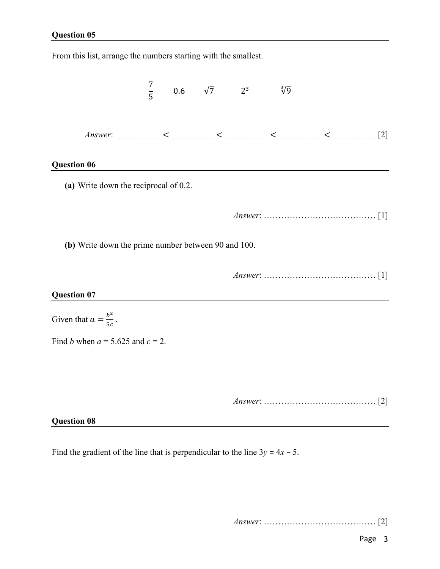From this list, arrange the numbers starting with the smallest.  $rac{7}{5}$ 0.6  $\sqrt{7}$  2<sup>3</sup>  $\sqrt[3]{9}$ *Answer*: \_\_\_\_\_\_\_\_\_\_ < \_\_\_\_\_\_\_\_\_\_ < \_\_\_\_\_\_\_\_\_\_ < \_\_\_\_\_\_\_\_\_\_ < \_\_\_\_\_\_\_\_\_\_ [2] **Question 06 (a)** Write down the reciprocal of 0.2. *Answer*: ………………………………… [1] **(b)** Write down the prime number between 90 and 100. *Answer*: ………………………………… [1] **Question 07** Given that  $a = \frac{b^2}{5c}$ . Find *b* when  $a = 5.625$  and  $c = 2$ . *Answer*: ………………………………… [2] **Question 08**

Find the gradient of the line that is perpendicular to the line  $3y = 4x - 5$ .

*Answer*: ………………………………… [2]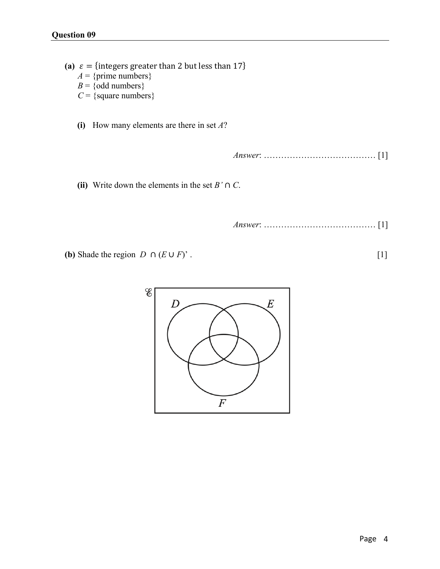(a)  $\varepsilon =$  {integers greater than 2 but less than 17}  $A = \{ \text{prime numbers} \}$  $B = \{odd numbers\}$ *C* = {square numbers}

**(i)** How many elements are there in set *A*?

*Answer*: ………………………………… [1]

**(ii)** Write down the elements in the set  $B' \cap C$ .

*Answer*: ………………………………… [1]

**(b)** Shade the region  $D \cap (E \cup F)'$ . [1]

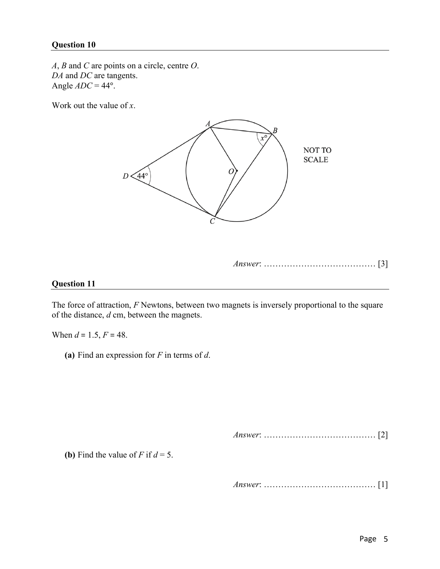*A*, *B* and *C* are points on a circle, centre *O*. *DA* and *DC* are tangents. Angle  $ADC = 44^\circ$ .

Work out the value of *x*.



#### *Answer*: ………………………………… [3]

#### **Question 11**

The force of attraction, *F* Newtons, between two magnets is inversely proportional to the square of the distance, *d* cm, between the magnets.

When  $d = 1.5, F = 48$ .

**(a)** Find an expression for *F* in terms of *d*.

*Answer*: ………………………………… [2]

**(b)** Find the value of *F* if  $d = 5$ .

*Answer*: ………………………………… [1]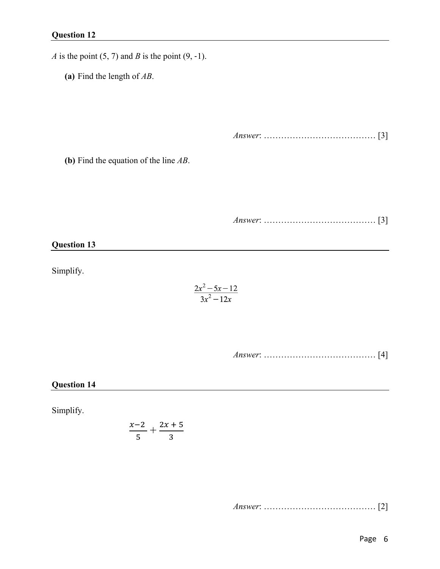*A* is the point (5, 7) and *B* is the point (9, -1).

**(a)** Find the length of *AB*.

*Answer*: ………………………………… [3]

**(b)** Find the equation of the line *AB*.

*Answer*: ………………………………… [3]

#### **Question 13**

Simplify.

$$
\frac{2x^2-5x-12}{3x^2-12x}
$$

*Answer*: ………………………………… [4]

### **Question 14**

Simplify.

$$
\frac{x-2}{5} + \frac{2x+5}{3}
$$

*Answer*: ………………………………… [2]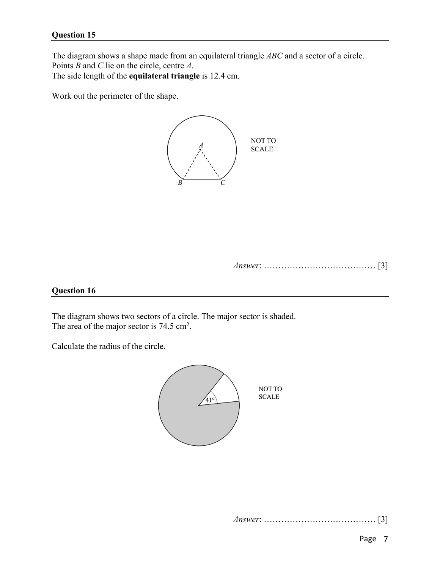The diagram shows a shape made from an equilateral triangle *ABC* and a sector of a circle. Points *B* and *C* lie on the circle, centre *A*.

The side length of the **equilateral triangle** is 12.4 cm.

Work out the perimeter of the shape.



*Answer*: ………………………………… [3]

#### **Question 16**

The diagram shows two sectors of a circle. The major sector is shaded. The area of the major sector is  $74.5 \text{ cm}^2$ .

Calculate the radius of the circle.



*Answer*: ………………………………… [3]